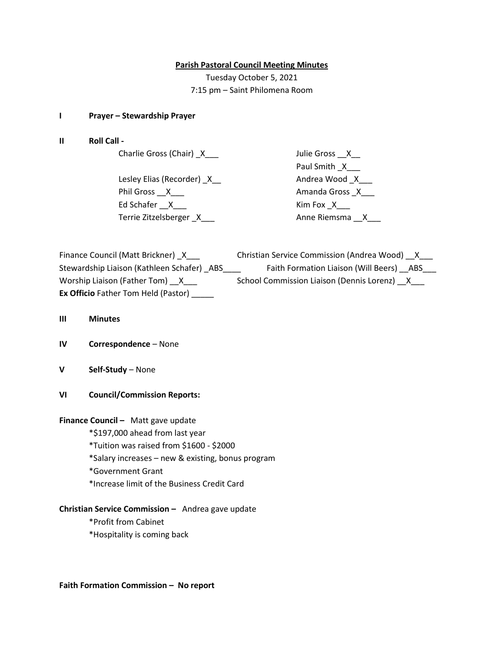## **Parish Pastoral Council Meeting Minutes**

Tuesday October 5, 2021 7:15 pm – Saint Philomena Room

### **I Prayer – Stewardship Prayer**

**II Roll Call -**

Charlie Gross (Chair) \_X\_\_\_ Julie Gross \_\_X\_\_

Lesley Elias (Recorder) \_X\_\_ Andrea Wood \_X\_\_\_ Phil Gross \_\_X\_\_\_ Amanda Gross \_X\_\_\_ Ed Schafer \_\_X\_\_\_ Kim Fox \_X\_\_\_ Terrie Zitzelsberger \_X\_\_\_ Anne Riemsma \_\_X\_\_\_

Paul Smith \_X\_\_\_

| Finance Council (Matt Brickner) X          | Christian Service Commission (Andrea Wood) X |
|--------------------------------------------|----------------------------------------------|
| Stewardship Liaison (Kathleen Schafer) ABS | Faith Formation Liaison (Will Beers) ABS     |
| Worship Liaison (Father Tom) X             | School Commission Liaison (Dennis Lorenz) X  |
| <b>Ex Officio</b> Father Tom Held (Pastor) |                                              |

- **III Minutes**
- **IV Correspondence** None
- **V Self-Study** None
- **VI Council/Commission Reports:**

**Finance Council –** Matt gave update

\*\$197,000 ahead from last year

\*Tuition was raised from \$1600 - \$2000

- \*Salary increases new & existing, bonus program
- \*Government Grant
- \*Increase limit of the Business Credit Card

# **Christian Service Commission –** Andrea gave update

- \*Profit from Cabinet
- \*Hospitality is coming back

**Faith Formation Commission – No report**